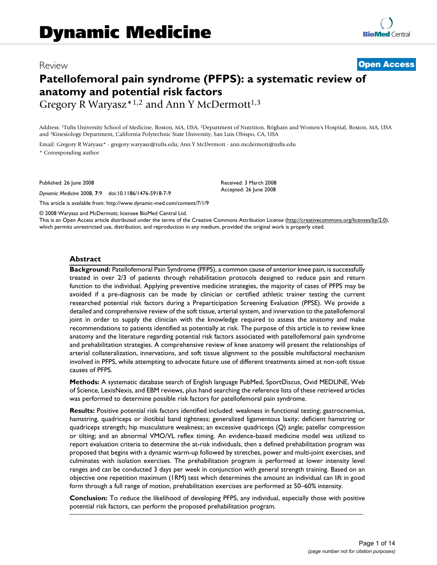# Review **[Open Access](http://www.biomedcentral.com/info/about/charter/)**

# **Patellofemoral pain syndrome (PFPS): a systematic review of anatomy and potential risk factors**

Gregory R Waryasz\*1,2 and Ann Y McDermott<sup>1,3</sup>

Address: 1Tufts University School of Medicine, Boston, MA, USA, 2Department of Nutrition, Brigham and Women's Hospital, Boston, MA, USA and 3Kinesiology Department, California Polytechnic State University, San Luis Obispo, CA, USA

Email: Gregory R Waryasz\* - gregory.waryasz@tufts.edu; Ann Y McDermott - ann.mcdermott@tufts.edu \* Corresponding author

Published: 26 June 2008

*Dynamic Medicine* 2008, **7**:9 doi:10.1186/1476-5918-7-9

[This article is available from: http://www.dynamic-med.com/content/7/1/9](http://www.dynamic-med.com/content/7/1/9)

Received: 3 March 2008 Accepted: 26 June 2008

© 2008 Waryasz and McDermott; licensee BioMed Central Ltd.

This is an Open Access article distributed under the terms of the Creative Commons Attribution License [\(http://creativecommons.org/licenses/by/2.0\)](http://creativecommons.org/licenses/by/2.0), which permits unrestricted use, distribution, and reproduction in any medium, provided the original work is properly cited.

#### **Abstract**

**Background:** Patellofemoral Pain Syndrome (PFPS), a common cause of anterior knee pain, is successfully treated in over 2/3 of patients through rehabilitation protocols designed to reduce pain and return function to the individual. Applying preventive medicine strategies, the majority of cases of PFPS may be avoided if a pre-diagnosis can be made by clinician or certified athletic trainer testing the current researched potential risk factors during a Preparticipation Screening Evaluation (PPSE). We provide a detailed and comprehensive review of the soft tissue, arterial system, and innervation to the patellofemoral joint in order to supply the clinician with the knowledge required to assess the anatomy and make recommendations to patients identified as potentially at risk. The purpose of this article is to review knee anatomy and the literature regarding potential risk factors associated with patellofemoral pain syndrome and prehabilitation strategies. A comprehensive review of knee anatomy will present the relationships of arterial collateralization, innervations, and soft tissue alignment to the possible multifactoral mechanism involved in PFPS, while attempting to advocate future use of different treatments aimed at non-soft tissue causes of PFPS.

**Methods:** A systematic database search of English language PubMed, SportDiscus, Ovid MEDLINE, Web of Science, LexisNexis, and EBM reviews, plus hand searching the reference lists of these retrieved articles was performed to determine possible risk factors for patellofemoral pain syndrome.

**Results:** Positive potential risk factors identified included: weakness in functional testing; gastrocnemius, hamstring, quadriceps or iliotibial band tightness; generalized ligamentous laxity; deficient hamstring or quadriceps strength; hip musculature weakness; an excessive quadriceps (Q) angle; patellar compression or tilting; and an abnormal VMO/VL reflex timing. An evidence-based medicine model was utilized to report evaluation criteria to determine the at-risk individuals, then a defined prehabilitation program was proposed that begins with a dynamic warm-up followed by stretches, power and multi-joint exercises, and culminates with isolation exercises. The prehabilitation program is performed at lower intensity level ranges and can be conducted 3 days per week in conjunction with general strength training. Based on an objective one repetition maximum (1RM) test which determines the amount an individual can lift in good form through a full range of motion, prehabilitation exercises are performed at 50–60% intensity.

**Conclusion:** To reduce the likelihood of developing PFPS, any individual, especially those with positive potential risk factors, can perform the proposed prehabilitation program.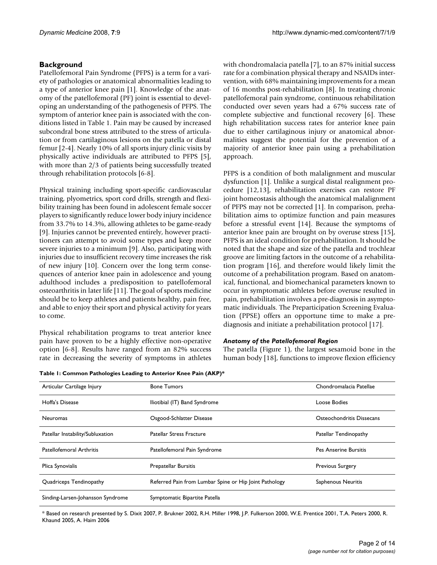# **Background**

Patellofemoral Pain Syndrome (PFPS) is a term for a variety of pathologies or anatomical abnormalities leading to a type of anterior knee pain [1]. Knowledge of the anatomy of the patellofemoral (PF) joint is essential to developing an understanding of the pathogenesis of PFPS. The symptom of anterior knee pain is associated with the conditions listed in Table 1. Pain may be caused by increased subcondral bone stress attributed to the stress of articulation or from cartilaginous lesions on the patella or distal femur [2-4]. Nearly 10% of all sports injury clinic visits by physically active individuals are attributed to PFPS [5], with more than 2/3 of patients being successfully treated through rehabilitation protocols [6-8].

Physical training including sport-specific cardiovascular training, plyometrics, sport cord drills, strength and flexibility training has been found in adolescent female soccer players to significantly reduce lower body injury incidence from 33.7% to 14.3%, allowing athletes to be game-ready [9]. Injuries cannot be prevented entirely, however practitioners can attempt to avoid some types and keep more severe injuries to a minimum [9]. Also, participating with injuries due to insufficient recovery time increases the risk of new injury [10]. Concern over the long term consequences of anterior knee pain in adolescence and young adulthood includes a predisposition to patellofemoral osteoarthritis in later life [11]. The goal of sports medicine should be to keep athletes and patients healthy, pain free, and able to enjoy their sport and physical activity for years to come.

Physical rehabilitation programs to treat anterior knee pain have proven to be a highly effective non-operative option [6-8]. Results have ranged from an 82% success rate in decreasing the severity of symptoms in athletes with chondromalacia patella [7], to an 87% initial success rate for a combination physical therapy and NSAIDs intervention, with 68% maintaining improvements for a mean of 16 months post-rehabilitation [8]. In treating chronic patellofemoral pain syndrome, continuous rehabilitation conducted over seven years had a 67% success rate of complete subjective and functional recovery [6]. These high rehabilitation success rates for anterior knee pain due to either cartilaginous injury or anatomical abnormalities suggest the potential for the prevention of a majority of anterior knee pain using a prehabilitation approach.

PFPS is a condition of both malalignment and muscular dysfunction [1]. Unlike a surgical distal realignment procedure [12,13], rehabilitation exercises can restore PF joint homeostasis although the anatomical malalignment of PFPS may not be corrected [1]. In comparison, prehabilitation aims to optimize function and pain measures before a stressful event [14]. Because the symptoms of anterior knee pain are brought on by overuse stress [15], PFPS is an ideal condition for prehabilitation. It should be noted that the shape and size of the patella and trochlear groove are limiting factors in the outcome of a rehabilitation program [16], and therefore would likely limit the outcome of a prehabilitation program. Based on anatomical, functional, and biomechanical parameters known to occur in symptomatic athletes before overuse resulted in pain, prehabilitation involves a pre-diagnosis in asymptomatic individuals. The Preparticipation Screening Evaluation (PPSE) offers an opportune time to make a prediagnosis and initiate a prehabilitation protocol [17].

#### *Anatomy of the Patellofemoral Region*

The patella (Figure 1), the largest sesamoid bone in the human body [18], functions to improve flexion efficiency

**Table 1: Common Pathologies Leading to Anterior Knee Pain (AKP)\***

| Articular Cartilage Injury        | <b>Bone Tumors</b>                                     | Chondromalacia Patellae   |
|-----------------------------------|--------------------------------------------------------|---------------------------|
| Hoffa's Disease                   | Iliotibial (IT) Band Syndrome                          | Loose Bodies              |
| <b>Neuromas</b>                   | Osgood-Schlatter Disease                               | Osteochondritis Dissecans |
| Patellar Instability/Subluxation  | <b>Patellar Stress Fracture</b>                        | Patellar Tendinopathy     |
| Patellofemoral Arthritis          | Patellofemoral Pain Syndrome                           | Pes Anserine Bursitis     |
| Plica Synovialis                  | Prepatellar Bursitis                                   | <b>Previous Surgery</b>   |
| Quadriceps Tendinopathy           | Referred Pain from Lumbar Spine or Hip Joint Pathology | Saphenous Neuritis        |
| Sinding-Larsen-Johansson Syndrome | Symptomatic Bipartite Patella                          |                           |

\* Based on research presented by S. Dixit 2007, P. Brukner 2002, R.H. Miller 1998, J.P. Fulkerson 2000, W.E. Prentice 2001, T.A. Peters 2000, R. Khaund 2005, A. Haim 2006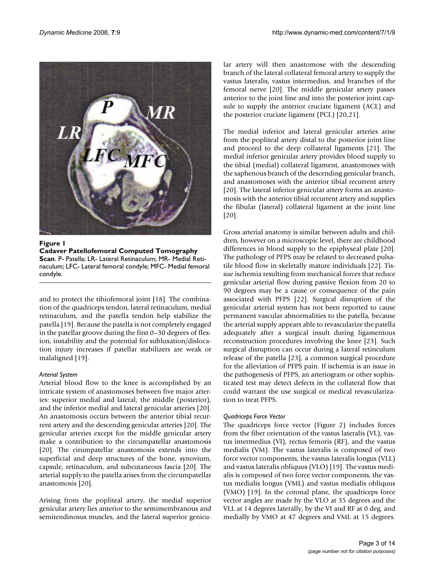

Figure 1 **Cadaver Patellofemoral Computed Tomography Scan**. P- Patella; LR- Lateral Retinaculum; MR- Medial Retinaculum; LFC- Lateral femoral condyle; MFC- Medial femoral condyle.

and to protect the tibiofemoral joint [18]. The combination of the quadriceps tendon, lateral retinaculum, medial retinaculum, and the patella tendon help stabilize the patella [19]. Because the patella is not completely engaged in the patellar groove during the first 0–30 degrees of flexion, instability and the potential for subluxation/dislocation injury increases if patellar stabilizers are weak or malaligned [19].

## *Arterial System*

Arterial blood flow to the knee is accomplished by an intricate system of anastomoses between five major arteries: superior medial and lateral, the middle (posterior), and the inferior medial and lateral genicular arteries [20]. An anastomosis occurs between the anterior tibial recurrent artery and the descending genicular arteries [20]. The genicular arteries except for the middle genicular artery make a contribution to the circumpatellar anastomosis [20]. The cirumpatellar anastomosis extends into the superficial and deep structures of the bone, synovium, capsule, retinaculum, and subcutaneous fascia [20]. The arterial supply to the patella arises from the circumpatellar anastomosis [20].

Arising from the popliteal artery, the medial superior genicular artery lies anterior to the semimembranous and semitendinosus muscles, and the lateral superior genicular artery will then anastomose with the descending branch of the lateral collateral femoral artery to supply the vastus lateralis, vastus intermedius, and branches of the femoral nerve [20]. The middle genicular artery passes anterior to the joint line and into the posterior joint capsule to supply the anterior cruciate ligament (ACL) and the posterior cruciate ligament (PCL) [20,21].

The medial inferior and lateral genicular arteries arise from the popliteal artery distal to the posterior joint line and proceed to the deep collateral ligaments [21]. The medial inferior genicular artery provides blood supply to the tibial (medial) collateral ligament, anastomoses with the saphenous branch of the descending genicular branch, and anastomoses with the anterior tibial recurrent artery [20]. The lateral inferior genicular artery forms an anastomosis with the anterior tibial recurrent artery and supplies the fibular (lateral) collateral ligament at the joint line [20].

Gross arterial anatomy is similar between adults and children, however on a microscopic level, there are childhood differences in blood supply to the epiphyseal plate [20]. The pathology of PFPS may be related to decreased pulsatile blood flow in skeletally mature individuals [22]. Tissue ischemia resulting from mechanical forces that reduce genicular arterial flow during passive flexion from 20 to 90 degrees may be a cause or consequence of the pain associated with PFPS [22]. Surgical disruption of the genicular arterial system has not been reported to cause permanent vascular abnormalities to the patella, because the arterial supply appears able to revascularize the patella adequately after a surgical insult during ligamentous reconstruction procedures involving the knee [23]. Such surgical disruption can occur during a lateral retinculum release of the patella [23], a common surgical procedure for the alleviation of PFPS pain. If ischemia is an issue in the pathogenesis of PFPS, an arteriogram or other sophisticated test may detect defects in the collateral flow that could warrant the use surgical or medical revascularization to treat PFPS.

## *Quadriceps Force Vector*

The quadriceps force vector (Figure 2) includes forces from the fiber orientation of the vastus lateralis (VL), vastus intermedius (VI), rectus femoris (RF), and the vastus medialis (VM). The vastus lateralis is composed of two force vector components, the vastus lateralis longus (VLL) and vastus lateralis obliquus (VLO) [19]. The vastus medialis is composed of two force vector components, the vastus medialis longus (VML) and vastus medialis obliquus (VMO) [19]. In the coronal plane, the quadriceps force vector angles are made by the VLO at 35 degrees and the VLL at 14 degrees laterally, by the VI and RF at 0 deg, and medially by VMO at 47 degrees and VML at 15 degrees.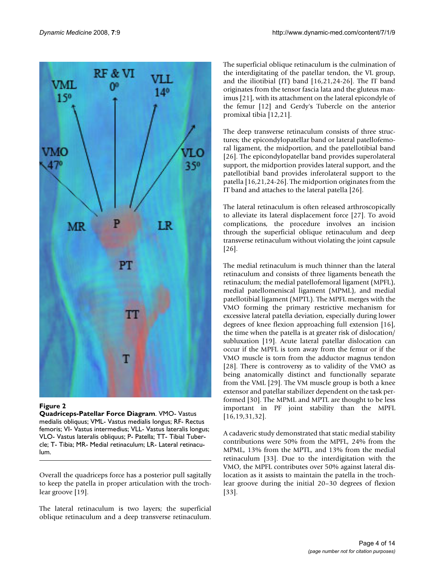

#### **Figure 2**

**Quadriceps-Patellar Force Diagram**. VMO- Vastus medialis obliquus; VML- Vastus medialis longus; RF- Rectus femoris; VI- Vastus intermedius; VLL- Vastus lateralis longus; VLO- Vastus lateralis obliquus; P- Patella; TT- Tibial Tubercle; T- Tibia; MR- Medial retinaculum; LR- Lateral retinaculum.

Overall the quadriceps force has a posterior pull sagitally to keep the patella in proper articulation with the trochlear groove [19].

The lateral retinaculum is two layers; the superficial oblique retinaculum and a deep transverse retinaculum.

The superficial oblique retinaculum is the culmination of the interdigitating of the patellar tendon, the VL group, and the iliotibial (IT) band [16,21,24-26]. The IT band originates from the tensor fascia lata and the gluteus maximus [21], with its attachment on the lateral epicondyle of the femur [12] and Gerdy's Tubercle on the anterior promixal tibia [12,21].

The deep transverse retinaculum consists of three structures; the epicondylopatellar band or lateral patellofemoral ligament, the midportion, and the patellotibial band [26]. The epicondylopatellar band provides superolateral support, the midportion provides lateral support, and the patellotibial band provides inferolateral support to the patella [16,21,24-26]. The midportion originates from the IT band and attaches to the lateral patella [26].

The lateral retinaculum is often released arthroscopically to alleviate its lateral displacement force [27]. To avoid complications, the procedure involves an incision through the superficial oblique retinaculum and deep transverse retinaculum without violating the joint capsule [26].

The medial retinaculum is much thinner than the lateral retinaculum and consists of three ligaments beneath the retinaculum; the medial patellofemoral ligament (MPFL), medial patellomeniscal ligament (MPML), and medial patellotibial ligament (MPTL). The MPFL merges with the VMO forming the primary restrictive mechanism for excessive lateral patella deviation, especially during lower degrees of knee flexion approaching full extension [16], the time when the patella is at greater risk of dislocation/ subluxation [19]. Acute lateral patellar dislocation can occur if the MPFL is torn away from the femur or if the VMO muscle is torn from the adductor magnus tendon [28]. There is controversy as to validity of the VMO as being anatomically distinct and functionally separate from the VML [29]. The VM muscle group is both a knee extensor and patellar stabilizer dependent on the task performed [30]. The MPML and MPTL are thought to be less important in PF joint stability than the MPFL [16,19,31,32].

A cadaveric study demonstrated that static medial stability contributions were 50% from the MPFL, 24% from the MPML, 13% from the MPTL, and 13% from the medial retinaculum [33]. Due to the interdigitation with the VMO, the MPFL contributes over 50% against lateral dislocation as it assists to maintain the patella in the trochlear groove during the initial 20–30 degrees of flexion [33].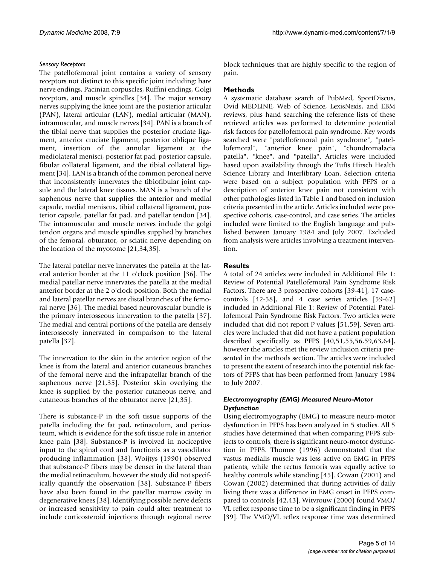# *Sensory Receptors*

The patellofemoral joint contains a variety of sensory receptors not distinct to this specific joint including: bare nerve endings, Pacinian corpuscles, Ruffini endings, Golgi receptors, and muscle spindles [34]. The major sensory nerves supplying the knee joint are the posterior articular (PAN), lateral articular (LAN), medial articular (MAN), intramuscular, and muscle nerves [34]. PAN is a branch of the tibial nerve that supplies the posterior cruciate ligament, anterior cruciate ligament, posterior oblique ligament, insertion of the annular ligament at the mediolateral menisci, posterior fat pad, posterior capsule, fibular collateral ligament, and the tibial collateral ligament [34]. LAN is a branch of the common peroneal nerve that inconsistently innervates the tibiofibular joint capsule and the lateral knee tissues. MAN is a branch of the saphenous nerve that supplies the anterior and medial capsule, medial meniscus, tibial collateral ligrament, posterior capsule, patellar fat pad, and patellar tendon [34]. The intramuscular and muscle nerves include the golgi tendon organs and muscle spindles supplied by branches of the femoral, obturator, or sciatic nerve depending on the location of the myotome [21,34,35].

The lateral patellar nerve innervates the patella at the lateral anterior border at the 11 o'clock position [36]. The medial patellar nerve innervates the patella at the medial anterior border at the 2 o'clock position. Both the medial and lateral patellar nerves are distal branches of the femoral nerve [36]. The medial based neurovascular bundle is the primary interosseous innervation to the patella [37]. The medial and central portions of the patella are densely interosseosly innervated in comparison to the lateral patella [37].

The innervation to the skin in the anterior region of the knee is from the lateral and anterior cutaneous branches of the femoral nerve and the infrapatellar branch of the saphenous nerve [21,35]. Posterior skin overlying the knee is supplied by the posterior cutaneous nerve, and cutaneous branches of the obturator nerve [21,35].

There is substance-P in the soft tissue supports of the patella including the fat pad, retinaculum, and periosteum, which is evidence for the soft tissue role in anterior knee pain [38]. Substance-P is involved in nociceptive input to the spinal cord and functionis as a vasodilator producing inflammation [38]. Woijtys (1990) observed that substance-P fibers may be denser in the lateral than the medial retinaculum, however the study did not specifically quantify the observation [38]. Substance-P fibers have also been found in the patellar marrow cavity in degenerative knees [38]. Identifying possible nerve defects or increased sensitivity to pain could alter treatment to include corticosteroid injections through regional nerve

block techniques that are highly specific to the region of pain.

# **Methods**

A systematic database search of PubMed, SportDiscus, Ovid MEDLINE, Web of Science, LexisNexis, and EBM reviews, plus hand searching the reference lists of these retrieved articles was performed to determine potential risk factors for patellofemoral pain syndrome. Key words searched were "patellofemoral pain syndrome", "patellofemoral", "anterior knee pain", "chondromalacia patella", "knee", and "patella". Articles were included based upon availability through the Tufts Hirsch Health Science Library and Interlibrary Loan. Selection criteria were based on a subject population with PFPS or a description of anterior knee pain not consistent with other pathologies listed in Table 1 and based on inclusion criteria presented in the article. Articles included were prospective cohorts, case-control, and case series. The articles included were limited to the English language and published between January 1984 and July 2007. Excluded from analysis were articles involving a treatment intervention.

# **Results**

A total of 24 articles were included in Additional File 1: Review of Potential Patellofemoral Pain Syndrome Risk Factors. There are 3 prospective cohorts [39-41], 17 casecontrols [42-58], and 4 case series articles [59-62] included in Additional File 1: Review of Potential Patellofemoral Pain Syndrome Risk Factors. Two articles were included that did not report P values [51,59]. Seven articles were included that did not have a patient population described specifically as PFPS [40,51,55,56,59,63,64], however the articles met the review inclusion criteria presented in the methods section. The articles were included to present the extent of research into the potential risk factors of PFPS that has been performed from January 1984 to July 2007.

## *Electromyography (EMG) Measured Neuro-Motor Dysfunction*

Using electromyography (EMG) to measure neuro-motor dysfunction in PFPS has been analyzed in 5 studies. All 5 studies have determined that when comparing PFPS subjects to controls, there is significant neuro-motor dysfunction in PFPS. Thomee (1996) demonstrated that the vastus medialis muscle was less active on EMG in PFPS patients, while the rectus femoris was equally active to healthy controls while standing [45]. Cowan (2001) and Cowan (2002) determined that during activities of daily living there was a difference in EMG onset in PFPS compared to controls [42,43]. Witvrouw (2000) found VMO/ VL reflex response time to be a significant finding in PFPS [39]. The VMO/VL reflex response time was determined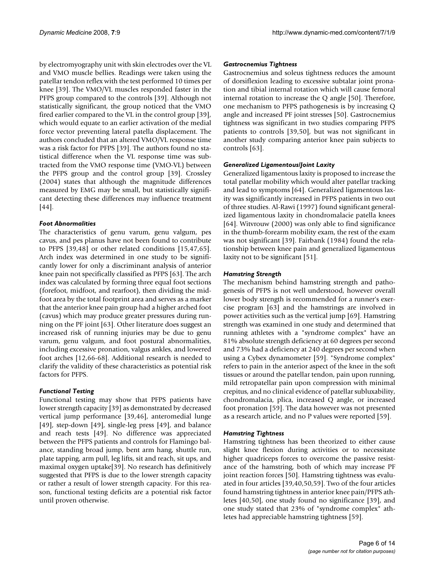by electromyography unit with skin electrodes over the VL and VMO muscle bellies. Readings were taken using the patellar tendon reflex with the test performed 10 times per knee [39]. The VMO/VL muscles responded faster in the PFPS group compared to the controls [39]. Although not statistically significant, the group noticed that the VMO fired earlier compared to the VL in the control group [39], which would equate to an earlier activation of the medial force vector preventing lateral patella displacement. The authors concluded that an altered VMO/VL response time was a risk factor for PFPS [39]. The authors found no statistical difference when the VL response time was subtracted from the VMO response time (VMO-VL) between the PFPS group and the control group [39]. Crossley (2004) states that although the magnitude differences measured by EMG may be small, but statistically significant detecting these differences may influence treatment [44].

## *Foot Abnormalities*

The characteristics of genu varum, genu valgum, pes cavus, and pes planus have not been found to contribute to PFPS [39,48] or other related conditions [15,47,65]. Arch index was determined in one study to be significantly lower for only a discriminant analysis of anterior knee pain not specifically classified as PFPS [63]. The arch index was calculated by forming three equal foot sections (forefoot, midfoot, and rearfoot), then dividing the midfoot area by the total footprint area and serves as a marker that the anterior knee pain group had a higher arched foot (cavus) which may produce greater pressures during running on the PF joint [63]. Other literature does suggest an increased risk of running injuries may be due to genu varum, genu valgum, and foot postural abnormalities, including excessive pronation, valgus ankles, and lowered foot arches [12,66-68]. Additional research is needed to clarify the validity of these characteristics as potential risk factors for PFPS.

# *Functional Testing*

Functional testing may show that PFPS patients have lower strength capacity [39] as demonstrated by decreased vertical jump performance [39,46], anteromedial lunge [49], step-down [49], single-leg press [49], and balance and reach tests [49]. No difference was appreciated between the PFPS patients and controls for Flamingo balance, standing broad jump, bent arm hang, shuttle run, plate tapping, arm pull, leg lifts, sit and reach, sit ups, and maximal oxygen uptake[39]. No research has definitively suggested that PFPS is due to the lower strength capacity or rather a result of lower strength capacity. For this reason, functional testing deficits are a potential risk factor until proven otherwise.

## *Gastrocnemius Tightness*

Gastrocnemius and soleus tightness reduces the amount of dorsiflexion leading to excessive subtalar joint pronation and tibial internal rotation which will cause femoral internal rotation to increase the Q angle [50]. Therefore, one mechanism to PFPS pathogenesis is by increasing Q angle and increased PF joint stresses [50]. Gastrocnemius tightness was significant in two studies comparing PFPS patients to controls [39,50], but was not significant in another study comparing anterior knee pain subjects to controls [63].

## *Generalized Ligamentous/Joint Laxity*

Generalized ligamentous laxity is proposed to increase the total patellar mobility which would alter patellar tracking and lead to symptoms [64]. Generalized ligamentous laxity was significantly increased in PFPS patients in two out of three studies. Al-Rawi (1997) found significant generalized ligamentous laxity in chondromalacie patella knees [64]. Witvrouw (2000) was only able to find significance in the thumb-forearm mobility exam, the rest of the exam was not significant [39]. Fairbank (1984) found the relationship between knee pain and generalized ligamentous laxity not to be significant [51].

## *Hamstring Strength*

The mechanism behind hamstring strength and pathogenesis of PFPS is not well understood, however overall lower body strength is recommended for a runner's exercise program [63] and the hamstrings are involved in power activities such as the vertical jump [69]. Hamstring strength was examined in one study and determined that running athletes with a "syndrome complex" have an 81% absolute strength deficiency at 60 degrees per second and 73% had a deficiency at 240 degrees per second when using a Cybex dynamometer [59]. "Syndrome complex" refers to pain in the anterior aspect of the knee in the soft tissues or around the patellar tendon, pain upon running, mild retropatellar pain upon compression with minimal crepitus, and no clinical evidence of patellar subluxability, chondromalacia, plica, increased Q angle, or increased foot pronation [59]. The data however was not presented as a research article, and no P values were reported [59].

## *Hamstring Tightness*

Hamstring tightness has been theorized to either cause slight knee flexion during activities or to necessitate higher quadriceps forces to overcome the passive resistance of the hamstring, both of which may increase PF joint reaction forces [50]. Hamstring tightness was evaluated in four articles [39,40,50,59]. Two of the four articles found hamstring tightness in anterior knee pain/PFPS athletes [40,50], one study found no significance [39], and one study stated that 23% of "syndrome complex" athletes had appreciable hamstring tightness [59].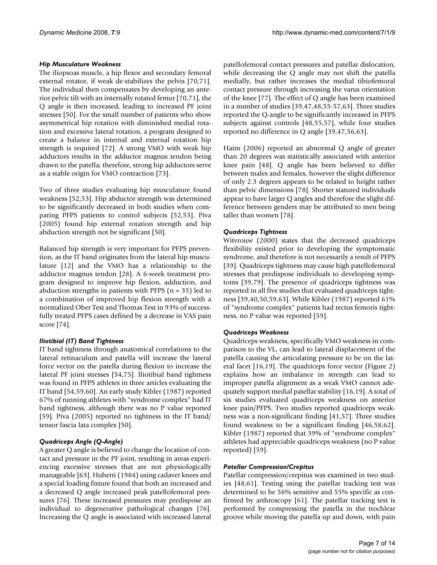#### *Hip Musculature Weakness*

The iliopsoas muscle, a hip flexor and secondary femoral external rotator, if weak de-stabilizes the pelvis [70,71]. The individual then compensates by developing an anterior pelvic tilt with an internally rotated femur [70,71], the Q angle is then increased, leading to increased PF joint stresses [50]. For the small number of patients who show asymmetrical hip rotation with diminished medial rotation and excessive lateral rotation, a program designed to create a balance in internal and external rotation hip strength is required [72]. A strong VMO with weak hip adductors results in the adductor magnus tendon being drawn to the patella; therefore, strong hip adductors serve as a stable origin for VMO contraction [73].

Two of three studies evaluating hip musculature found weakness [52,53]. Hip abductor strength was determined to be significantly decreased in both studies when comparing PFPS patients to control subjects [52,53]. Piva (2005) found hip external rotation strength and hip abduction strength not be significant [50].

Balanced hip strength is very important for PFPS prevention, as the IT band originates from the lateral hip musculature [12] and the VMO has a relationship to the adductor magnus tendon [28]. A 6-week treatment program designed to improve hip flexion, adduction, and abduction strengths in patients with PFPS ( $n = 35$ ) led to a combination of improved hip flexion strength with a normalized Ober Test and Thomas Test in 93% of successfully treated PFPS cases defined by a decrease in VAS pain score [74].

## *Iliotibial (IT) Band Tightness*

IT band tightness through anatomical correlations to the lateral retinaculum and patella will increase the lateral force vector on the patella during flexion to increase the lateral PF joint stresses [54,75]. Iliotibial band tightness was found in PFPS athletes in three articles evaluating the IT band [54,59,60]. An early study Kibler (1987) reported 67% of running athletes with "syndrome complex" had IT band tightness, although there was no P value reported [59]. Piva (2005) reported no tightness in the IT band/ tensor fascia lata complex [50].

## *Quadriceps Angle (Q-Angle)*

A greater Q angle is believed to change the location of contact and pressure in the PF joint, resulting in areas experiencing excessive stresses that are not physiologically manageable [63]. Huberti (1984) using cadaver knees and a special loading fixture found that both an increased and a decreased Q angle increased peak patellofemoral pressures [76]. These increased pressures may predispose an individual to degenerative pathological changes [76]. Increasing the Q angle is associated with increased lateral

patellofemoral contact pressures and patellar dislocation, while decreasing the Q angle may not shift the patella medially, but rather increases the medial tibiofemoral contact pressure through increasing the varus orientation of the knee [77]. The effect of Q angle has been examined in a number of studies [39,47,48,55-57,63]. Three studies reported the Q-angle to be significantly increased in PFPS subjects against controls [48,55,57], while four studies reported no difference in Q angle [39,47,56,63].

Haim (2006) reported an abnormal Q angle of greater than 20 degrees was statistically associated with anterior knee pain [48]. Q angle has been believed to differ between males and females, however the slight difference of only 2.3 degrees appears to be related to height rather than pelvic dimensions [78]. Shorter statured individuals appear to have larger Q angles and therefore the slight difference between genders may be attributed to men being taller than women [78].

## *Quadriceps Tightness*

Witvrouw (2000) states that the decreased quadriceps flexibility existed prior to developing the symptomatic syndrome, and therefore is not necessarily a result of PFPS [39]. Quadriceps tightness may cause high patellofemoral stresses that predispose individuals to developing symptoms [39,79]. The presence of quadriceps tightness was reported in all five studies that evaluated quadriceps tightness [39,40,50,59,63]. While Kibler (1987) reported 61% of "syndrome complex" patients had rectus femoris tightness, no P value was reported [59].

## *Quadriceps Weakness*

Quadriceps weakness, specifically VMO weakness in comparison to the VL, can lead to lateral displacement of the patella causing the articulating pressure to be on the lateral facet [16,19]. The quadriceps force vector (Figure 2) explains how an imbalance in strength can lead to improper patella alignment as a weak VMO cannot adequately support medial patellar stability [16,19]. A total of six studies evaluated quadriceps weakness on anterior knee pain/PFPS. Two studies reported quadriceps weakness was a non-significant finding [41,57]. Three studies found weakness to be a significant finding [46,58,62]. Kibler (1987) reported that 39% of "syndrome complex" athletes had appreciable quadriceps weakness (no P value reported) [59].

## *Patellar Compression/Crepitus*

Patellar compression/crepitus was examined in two studies [48,61]. Testing using the patellar tracking test was determined to be 56% sensitive and 55% specific as confirmed by arthroscopy [61]. The patellar tracking test is performed by compressing the patella in the trochlear groove while moving the patella up and down, with pain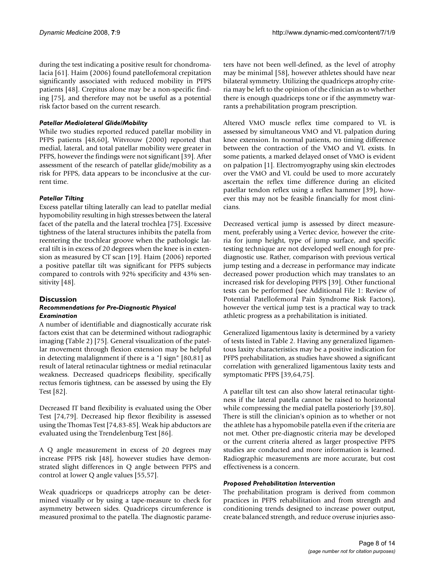during the test indicating a positive result for chondromalacia [61]. Haim (2006) found patellofemoral crepitation significantly associated with reduced mobility in PFPS patients [48]. Crepitus alone may be a non-specific finding [75], and therefore may not be useful as a potential risk factor based on the current research.

## *Patellar Mediolateral Glide/Mobility*

While two studies reported reduced patellar mobility in PFPS patients [48,60], Witvrouw (2000) reported that medial, lateral, and total patellar mobility were greater in PFPS, however the findings were not significant [39]. After assessment of the research of patellar glide/mobility as a risk for PFPS, data appears to be inconclusive at the current time.

## *Patellar Tilting*

Excess patellar tilting laterally can lead to patellar medial hypomobility resulting in high stresses between the lateral facet of the patella and the lateral trochlea [75]. Excessive tightness of the lateral structures inhibits the patella from reentering the trochlear groove when the pathologic lateral tilt is in excess of 20 degrees when the knee is in extension as measured by CT scan [19]. Haim (2006) reported a positive patellar tilt was significant for PFPS subjects compared to controls with 92% specificity and 43% sensitivity [48].

## **Discussion**

#### *Recommendations for Pre-Diagnostic Physical Examination*

A number of identifiable and diagnostically accurate risk factors exist that can be determined without radiographic imaging (Table 2) [75]. General visualization of the patellar movement through flexion extension may be helpful in detecting malalignment if there is a "J sign" [80,81] as result of lateral retinacular tightness or medial retinacular weakness. Decreased quadriceps flexibility, specifically rectus femoris tightness, can be assessed by using the Ely Test [82].

Decreased IT band flexibility is evaluated using the Ober Test [74,79]. Decreased hip flexor flexibility is assessed using the Thomas Test [74,83-85]. Weak hip abductors are evaluated using the Trendelenburg Test [86].

A Q angle measurement in excess of 20 degrees may increase PFPS risk [48], however studies have demonstrated slight differences in Q angle between PFPS and control at lower Q angle values [55,57].

Weak quadriceps or quadriceps atrophy can be determined visually or by using a tape-measure to check for asymmetry between sides. Quadriceps circumference is measured proximal to the patella. The diagnostic parameters have not been well-defined, as the level of atrophy may be minimal [58], however athletes should have near bilateral symmetry. Utilizing the quadriceps atrophy criteria may be left to the opinion of the clinician as to whether there is enough quadriceps tone or if the asymmetry warrants a prehabilitation program prescription.

Altered VMO muscle reflex time compared to VL is assessed by simultaneous VMO and VL palpation during knee extension. In normal patients, no timing difference between the contraction of the VMO and VL exists. In some patients, a marked delayed onset of VMO is evident on palpation [1]. Electromyography using skin electrodes over the VMO and VL could be used to more accurately ascertain the reflex time difference during an elicited patellar tendon reflex using a reflex hammer [39], however this may not be feasible financially for most clinicians.

Decreased vertical jump is assessed by direct measurement, preferably using a Vertec device, however the criteria for jump height, type of jump surface, and specific testing technique are not developed well enough for prediagnostic use. Rather, comparison with previous vertical jump testing and a decrease in performance may indicate decreased power production which may translates to an increased risk for developing PFPS [39]. Other functional tests can be performed (see Additional File 1: Review of Potential Patellofemoral Pain Syndrome Risk Factors), however the vertical jump test is a practical way to track athletic progress as a prehabilitation is initiated.

Generalized ligamentous laxity is determined by a variety of tests listed in Table 2. Having any generalized ligamentous laxity characteristics may be a positive indication for PFPS prehabilitation, as studies have showed a significant correlation with generalized ligamentous laxity tests and symptomatic PFPS [39,64,75].

A patellar tilt test can also show lateral retinacular tightness if the lateral patella cannot be raised to horizontal while compressing the medial patella posteriorly [39,80]. There is still the clinician's opinion as to whether or not the athlete has a hypomobile patella even if the criteria are not met. Other pre-diagnostic criteria may be developed or the current criteria altered as larger prospective PFPS studies are conducted and more information is learned. Radiographic measurements are more accurate, but cost effectiveness is a concern.

## *Proposed Prehabilitation Intervention*

The prehabilitation program is derived from common practices in PFPS rehabilitation and from strength and conditioning trends designed to increase power output, create balanced strength, and reduce overuse injuries asso-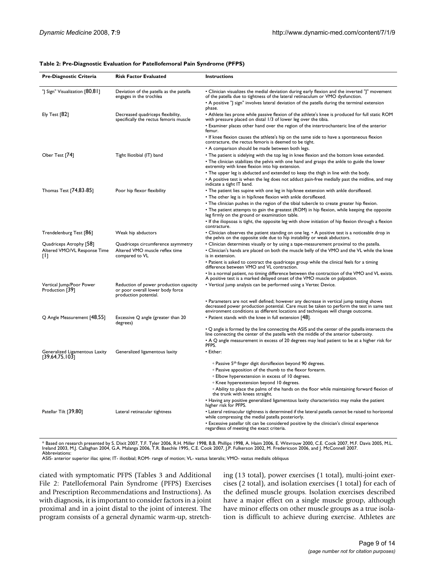| Table 2: Pre-Diagnostic Evaluation for Patellofemoral Pain Syndrome (PFPS) |
|----------------------------------------------------------------------------|
|----------------------------------------------------------------------------|

| Pre-Diagnostic Criteria                          | <b>Risk Factor Evaluated</b>                                                                        | <b>Instructions</b>                                                                                                                                                                                                                                                                         |
|--------------------------------------------------|-----------------------------------------------------------------------------------------------------|---------------------------------------------------------------------------------------------------------------------------------------------------------------------------------------------------------------------------------------------------------------------------------------------|
| "  Sign" Visualization [80,81]                   | Deviation of the patella as the patella<br>engages in the trochlea                                  | • Clinician visualizes the medial deviation during early flexion and the inverted "J" movement<br>of the patella due to tightness of the lateral retinaculum or VMO dysfunction.<br>• A positive "J sign" involves lateral deviation of the patella during the terminal extension<br>phase. |
| Ely Test $[82]$                                  | Decreased quadriceps flexibility,<br>specifically the rectus femoris muscle                         | • Athlete lies prone while passive flexion of the athlete's knee is produced for full static ROM<br>with pressure placed on distal 1/3 of lower leg over the tibia.                                                                                                                         |
|                                                  |                                                                                                     | • Examiner places other hand over the region of the intertrochanteric line of the anterior<br>femur.                                                                                                                                                                                        |
|                                                  |                                                                                                     | • If knee flexion causes the athlete's hip on the same side to have a spontaneous flexion<br>contracture, the rectus femoris is deemed to be tight.                                                                                                                                         |
|                                                  |                                                                                                     | • A comparison should be made between both legs.                                                                                                                                                                                                                                            |
| Ober Test [74]                                   | Tight Iliotibial (IT) band                                                                          | • The patient is sidelying with the top leg in knee flexion and the bottom knee extended.<br>• The clinician stabilizes the pelvis with one hand and grasps the ankle to guide the lower<br>extremity with knee flexion into hip extension.                                                 |
|                                                  |                                                                                                     | • The upper leg is abducted and extended to keep the thigh in line with the body.                                                                                                                                                                                                           |
|                                                  |                                                                                                     | • A positive test is when the leg does not adduct pain-free medially past the midline, and may<br>indicate a tight IT band.                                                                                                                                                                 |
| Thomas Test [74,83-85]                           | Poor hip flexor flexibility                                                                         | • The patient lies supine with one leg in hip/knee extension with ankle dorsiflexed.                                                                                                                                                                                                        |
|                                                  |                                                                                                     | . The other leg is in hip/knee flexion with ankle dorsiflexed.                                                                                                                                                                                                                              |
|                                                  |                                                                                                     | • The clinician pushes in the region of the tibial tubercle to create greater hip flexion.                                                                                                                                                                                                  |
|                                                  |                                                                                                     | • The patient attempts to gain the greatest (ROM) in hip flexion, while keeping the opposite<br>leg firmly on the ground or examination table.                                                                                                                                              |
|                                                  |                                                                                                     | • If the iliopsoas is tight, the opposite leg with show initiation of hip flexion through a flexion<br>contracture.                                                                                                                                                                         |
| Trendelenburg Test [86]                          | Weak hip abductors                                                                                  | • Clinician observes the patient standing on one leg. • A positive test is a noticeable drop in<br>the pelvis on the opposite side due to hip instability or weak abductors.                                                                                                                |
| Quadriceps Atrophy [58]                          | Quadriceps circumference asymmetry                                                                  | • Clinician determines visually or by using a tape-measurement proximal to the patella.                                                                                                                                                                                                     |
| Altered VMO/VL Response Time<br>Ш                | Altered VMO muscle reflex time<br>compared to VL                                                    | . Clinician's hands are placed on both the muscle belly of the VMO and the VL while the knee<br>is in extension.                                                                                                                                                                            |
|                                                  |                                                                                                     | • Patient is asked to contract the quadriceps group while the clinical feels for a timing<br>difference between VMO and VL contraction.                                                                                                                                                     |
|                                                  |                                                                                                     | • In a normal patient, no timing difference between the contraction of the VMO and VL exists.<br>A positive test is a marked delayed onset of the VMO muscle on palpation.                                                                                                                  |
| Vertical Jump/Poor Power<br>Production [39]      | Reduction of power production capacity<br>or poor overall lower body force<br>production potential. | • Vertical jump analysis can be performed using a Vertec Device.                                                                                                                                                                                                                            |
|                                                  |                                                                                                     | • Parameters are not well defined; however any decrease in vertical jump testing shows<br>decreased power production potential. Care must be taken to perform the test in same test<br>environment conditions as different locations and techniques will change outcome.                    |
| Q Angle Measurement [48,55]                      | Excessive Q angle (greater than 20<br>degrees)                                                      | • Patient stands with the knee in full extension [48].                                                                                                                                                                                                                                      |
|                                                  |                                                                                                     | • Q angle is formed by the line connecting the ASIS and the center of the patella intersects the<br>line connecting the center of the patella with the middle of the anterior tuberosity.                                                                                                   |
|                                                  |                                                                                                     | • A Q angle measurement in excess of 20 degrees may lead patient to be at a higher risk for<br>PFPS.                                                                                                                                                                                        |
| Generalized Ligamentous Laxity<br>[39,64,75,103] | Generalized ligamentous laxity                                                                      | • Either:                                                                                                                                                                                                                                                                                   |
|                                                  |                                                                                                     | · Passive 5th finger digit dorsiflexion beyond 90 degrees.                                                                                                                                                                                                                                  |
|                                                  |                                                                                                     | • Passive apposition of the thumb to the flexor forearm.                                                                                                                                                                                                                                    |
|                                                  |                                                                                                     | <sup>o</sup> Elbow hyperextension in excess of 10 degrees.                                                                                                                                                                                                                                  |
|                                                  |                                                                                                     | <sup>o</sup> Knee hyperextension beyond 10 degrees.                                                                                                                                                                                                                                         |
|                                                  |                                                                                                     | • Ability to place the palms of the hands on the floor while maintaining forward flexion of<br>the trunk with knees straight.                                                                                                                                                               |
|                                                  |                                                                                                     | • Having any positive generalized ligamentous laxity characteristics may make the patient<br>higher risk for PFPS.                                                                                                                                                                          |
| Patellar Tilt [39,80]                            | Lateral retinacular tightness                                                                       | • Lateral retinacular tightness is determined if the lateral patella cannot be raised to horizontal<br>while compressing the medial patella posteriorly.                                                                                                                                    |
|                                                  |                                                                                                     | • Excessive patellar tilt can be considered positive by the clinician's clinical experience<br>regardless of meeting the exact criteria.                                                                                                                                                    |

\* Based on research presented by S. Dixit 2007, T.F. Tyler 2006, R.H. Miller 1998, B.B. Phillips 1998, A. Haim 2006, E. Witvrouw 2000, C.E. Cook 2007, M.F. Davis 2005, M.L.<br>Ireland 2003, M.J. Callaghan 2004, G.A. Malanga 2

Abbreviations: ASIS- anterior superior iliac spine; IT- iliotibial; ROM- range of motion; VL- vastus lateralis; VMO- vastus medialis obliquus

ciated with symptomatic PFPS (Tables 3 and Additional File 2: Patellofemoral Pain Syndrome (PFPS) Exercises and Prescription Recommendations and Instructions). As with diagnosis, it is important to consider factors in a joint proximal and in a joint distal to the joint of interest. The program consists of a general dynamic warm-up, stretching (13 total), power exercises (1 total), multi-joint exercises (2 total), and isolation exercises (1 total) for each of the defined muscle groups. Isolation exercises described have a major effect on a single muscle group, although have minor effects on other muscle groups as a true isolation is difficult to achieve during exercise. Athletes are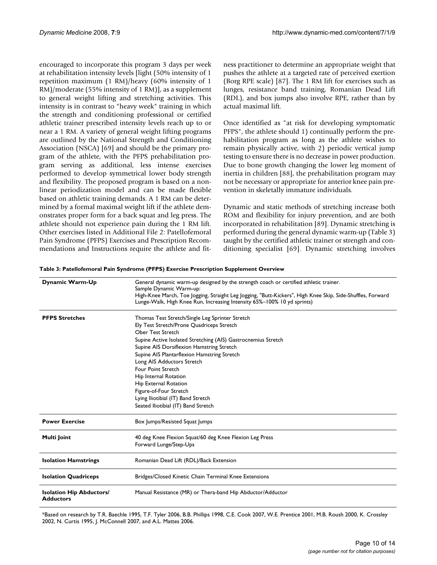encouraged to incorporate this program 3 days per week at rehabilitation intensity levels [light (50% intensity of 1 repetition maximum (1 RM)/heavy (60% intensity of 1 RM)/moderate (55% intensity of 1 RM)], as a supplement to general weight lifting and stretching activities. This intensity is in contrast to "heavy week" training in which the strength and conditioning professional or certified athletic trainer prescribed intensity levels reach up to or near a 1 RM. A variety of general weight lifting programs are outlined by the National Strength and Conditioning Association (NSCA) [69] and should be the primary program of the athlete, with the PFPS prehabilitation program serving as additional, less intense exercises performed to develop symmetrical lower body strength and flexibility. The proposed program is based on a nonlinear periodization model and can be made flexible based on athletic training demands. A 1 RM can be determined by a formal maximal weight lift if the athlete demonstrates proper form for a back squat and leg press. The athlete should not experience pain during the 1 RM lift. Other exercises listed in Additional File 2: Patellofemoral Pain Syndrome (PFPS) Exercises and Prescription Recommendations and Instructions require the athlete and fitness practitioner to determine an appropriate weight that pushes the athlete at a targeted rate of perceived exertion (Borg RPE scale) [87]. The 1 RM lift for exercises such as lunges, resistance band training, Romanian Dead Lift (RDL), and box jumps also involve RPE, rather than by actual maximal lift.

Once identified as "at risk for developing symptomatic PFPS", the athlete should 1) continually perform the prehabilitation program as long as the athlete wishes to remain physically active, with 2) periodic vertical jump testing to ensure there is no decrease in power production. Due to bone growth changing the lower leg moment of inertia in children [88], the prehabilitation program may not be necessary or appropriate for anterior knee pain prevention in skeletally immature individuals.

Dynamic and static methods of stretching increase both ROM and flexibility for injury prevention, and are both incorporated in rehabilitation [89]. Dynamic stretching is performed during the general dynamic warm-up (Table 3) taught by the certified athletic trainer or strength and conditioning specialist [69]. Dynamic stretching involves

| Dynamic Warm-Up                                     | General dynamic warm-up designed by the strength coach or certified athletic trainer.<br>Sample Dynamic Warm-up:<br>High-Knee March, Toe Jogging, Straight Leg Jogging, "Butt-Kickers", High Knee Skip, Side-Shuffles, Forward<br>Lunge-Walk, High Knee Run, Increasing Intensity 65%-100% 10 yd sprints) |  |  |
|-----------------------------------------------------|-----------------------------------------------------------------------------------------------------------------------------------------------------------------------------------------------------------------------------------------------------------------------------------------------------------|--|--|
| <b>PFPS Stretches</b>                               | Thomas Test Stretch/Single Leg Sprinter Stretch                                                                                                                                                                                                                                                           |  |  |
|                                                     | Ely Test Stretch/Prone Quadriceps Stretch                                                                                                                                                                                                                                                                 |  |  |
|                                                     | <b>Ober Test Stretch</b>                                                                                                                                                                                                                                                                                  |  |  |
|                                                     | Supine Active Isolated Stretching (AIS) Gastrocnemius Stretch                                                                                                                                                                                                                                             |  |  |
|                                                     | Supine AIS Dorsiflexion Hamstring Stretch                                                                                                                                                                                                                                                                 |  |  |
|                                                     | Supine AIS Plantarflexion Hamstring Stretch                                                                                                                                                                                                                                                               |  |  |
|                                                     | Long AIS Adductors Stretch                                                                                                                                                                                                                                                                                |  |  |
|                                                     | Four Point Stretch                                                                                                                                                                                                                                                                                        |  |  |
|                                                     | Hip Internal Rotation                                                                                                                                                                                                                                                                                     |  |  |
|                                                     | Hip External Rotation                                                                                                                                                                                                                                                                                     |  |  |
|                                                     | Figure-of-Four Stretch                                                                                                                                                                                                                                                                                    |  |  |
|                                                     | Lying Iliotibial (IT) Band Stretch                                                                                                                                                                                                                                                                        |  |  |
|                                                     | Seated Iliotibial (IT) Band Stretch                                                                                                                                                                                                                                                                       |  |  |
| <b>Power Exercise</b>                               | Box Jumps/Resisted Squat Jumps                                                                                                                                                                                                                                                                            |  |  |
| Multi Joint                                         | 40 deg Knee Flexion Squat/60 deg Knee Flexion Leg Press                                                                                                                                                                                                                                                   |  |  |
|                                                     | Forward Lunge/Step-Ups                                                                                                                                                                                                                                                                                    |  |  |
| <b>Isolation Hamstrings</b>                         | Romanian Dead Lift (RDL)/Back Extension                                                                                                                                                                                                                                                                   |  |  |
| <b>Isolation Quadriceps</b>                         | Bridges/Closed Kinetic Chain Terminal Knee Extensions                                                                                                                                                                                                                                                     |  |  |
| <b>Isolation Hip Abductors/</b><br><b>Adductors</b> | Manual Resistance (MR) or Thera-band Hip Abductor/Adductor                                                                                                                                                                                                                                                |  |  |

**Table 3: Patellofemoral Pain Syndrome (PFPS) Exercise Prescription Supplement Overview**

\*Based on research by T.R. Baechle 1995, T.F. Tyler 2006, B.B. Phillips 1998, C.E. Cook 2007, W.E. Prentice 2001, M.B. Roush 2000, K. Crossley 2002, N. Curtis 1995, J. McConnell 2007, and A.L. Mattes 2006.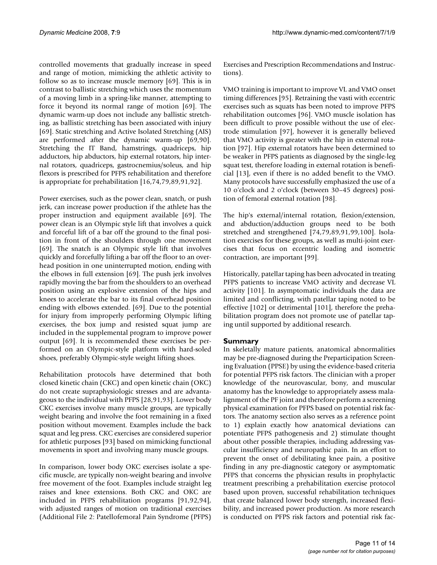controlled movements that gradually increase in speed and range of motion, mimicking the athletic activity to follow so as to increase muscle memory [69]. This is in contrast to ballistic stretching which uses the momentum of a moving limb in a spring-like manner, attempting to force it beyond its normal range of motion [69]. The dynamic warm-up does not include any ballistic stretching, as ballistic stretching has been associated with injury [69]. Static stretching and Active Isolated Stretching (AIS) are performed after the dynamic warm-up [69,90]. Stretching the IT Band, hamstrings, quadriceps, hip adductors, hip abductors, hip external rotators, hip internal rotators, quadriceps, gastrocnemius/soleus, and hip flexors is prescribed for PFPS rehabilitation and therefore is appropriate for prehabilitation [16,74,79,89,91,92].

Power exercises, such as the power clean, snatch, or push jerk, can increase power production if the athlete has the proper instruction and equipment available [69]. The power clean is an Olympic style lift that involves a quick and forceful lift of a bar off the ground to the final position in front of the shoulders through one movement [69]. The snatch is an Olympic style lift that involves quickly and forcefully lifting a bar off the floor to an overhead position in one uninterrupted motion, ending with the elbows in full extension [69]. The push jerk involves rapidly moving the bar from the shoulders to an overhead position using an explosive extension of the hips and knees to accelerate the bar to its final overhead position ending with elbows extended. [69]. Due to the potential for injury from improperly performing Olympic lifting exercises, the box jump and resisted squat jump are included in the supplemental program to improve power output [69]. It is recommended these exercises be performed on an Olympic-style platform with hard-soled shoes, preferably Olympic-style weight lifting shoes.

Rehabilitation protocols have determined that both closed kinetic chain (CKC) and open kinetic chain (OKC) do not create supraphysiologic stresses and are advantageous to the individual with PFPS [28,91,93]. Lower body CKC exercises involve many muscle groups, are typically weight bearing and involve the foot remaining in a fixed position without movement. Examples include the back squat and leg press. CKC exercises are considered superior for athletic purposes [93] based on mimicking functional movements in sport and involving many muscle groups.

In comparison, lower body OKC exercises isolate a specific muscle, are typically non-weight bearing and involve free movement of the foot. Examples include straight leg raises and knee extensions. Both CKC and OKC are included in PFPS rehabilitation programs [91,92,94], with adjusted ranges of motion on traditional exercises (Additional File 2: Patellofemoral Pain Syndrome (PFPS)

Exercises and Prescription Recommendations and Instructions).

VMO training is important to improve VL and VMO onset timing differences [95]. Retraining the vasti with eccentric exercises such as squats has been noted to improve PFPS rehabilitation outcomes [96]. VMO muscle isolation has been difficult to prove possible without the use of electrode stimulation [97], however it is generally believed that VMO activity is greater with the hip in external rotation [97]. Hip external rotators have been determined to be weaker in PFPS patients as diagnosed by the single-leg squat test, therefore loading in external rotation is beneficial [13], even if there is no added benefit to the VMO. Many protocols have successfully emphasized the use of a 10 o'clock and 2 o'clock (between 30–45 degrees) position of femoral external rotation [98].

The hip's external/internal rotation, flexion/extension, and abduction/adduction groups need to be both stretched and strengthened [74,79,89,91,99,100]. Isolation exercises for these groups, as well as multi-joint exercises that focus on eccentric loading and isometric contraction, are important [99].

Historically, patellar taping has been advocated in treating PFPS patients to increase VMO activity and decrease VL activity [101]. In asymptomatic individuals the data are limited and conflicting, with patellar taping noted to be effective [102] or detrimental [101], therefore the prehabilitation program does not promote use of patellar taping until supported by additional research.

# **Summary**

In skeletally mature patients, anatomical abnormalities may be pre-diagnosed during the Preparticipation Screening Evaluation (PPSE) by using the evidence-based criteria for potential PFPS risk factors. The clinician with a proper knowledge of the neurovascular, bony, and muscular anatomy has the knowledge to appropriately assess malalignment of the PF joint and therefore perform a screening physical examination for PFPS based on potential risk factors. The anatomy section also serves as a reference point to 1) explain exactly how anatomical deviations can potentiate PFPS pathogenesis and 2) stimulate thought about other possible therapies, including addressing vascular insufficiency and neuropathic pain. In an effort to prevent the onset of debilitating knee pain, a positive finding in any pre-diagnostic category or asymptomatic PFPS that concerns the physician results in prophylactic treatment prescribing a prehabilitation exercise protocol based upon proven, successful rehabilitation techniques that create balanced lower body strength, increased flexibility, and increased power production. As more research is conducted on PFPS risk factors and potential risk fac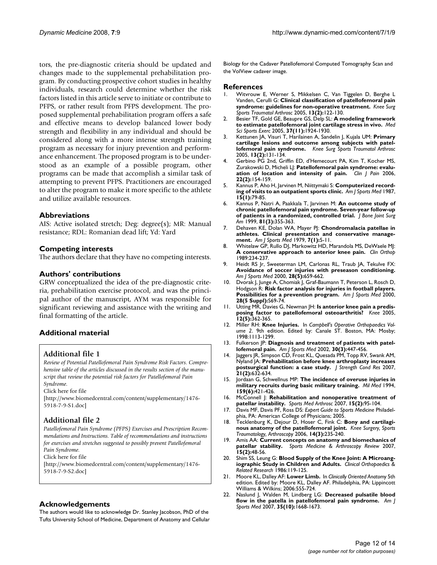tors, the pre-diagnostic criteria should be updated and changes made to the supplemental prehabilitation program. By conducting prospective cohort studies in healthy individuals, research could determine whether the risk factors listed in this article serve to initiate or contribute to PFPS, or rather result from PFPS development. The proposed supplemental prehabilitation program offers a safe and effective means to develop balanced lower body strength and flexibility in any individual and should be considered along with a more intense strength training program as necessary for injury prevention and performance enhancement. The proposed program is to be understood as an example of a possible program, other programs can be made that accomplish a similar task of attempting to prevent PFPS. Practitioners are encouraged to alter the program to make it more specific to the athlete and utilize available resources.

#### **Abbreviations**

AIS: Active isolated stretch; Deg: degree(s); MR: Manual resistance; RDL: Romanian dead lift; Yd: Yard

#### **Competing interests**

The authors declare that they have no competing interests.

#### **Authors' contributions**

GRW conceptualized the idea of the pre-diagnostic criteria, prehabilitation exercise protocol, and was the principal author of the manuscript, AYM was responsible for significant reviewing and assistance with the writing and final formatting of the article.

## **Additional material**

## **Additional file 1**

*Review of Potential Patellofemoral Pain Syndrome Risk Factors. Comprehensive table of the articles discussed in the results section of the manuscript that review the potential risk factors for Patellofemoral Pain Syndrome.*

Click here for file

[\[http://www.biomedcentral.com/content/supplementary/1476-](http://www.biomedcentral.com/content/supplementary/1476-5918-7-9-S1.doc) 5918-7-9-S1.doc]

# **Additional file 2**

*Patellofemoral Pain Syndrome (PFPS) Exercises and Prescription Recommendations and Instructions. Table of recommendations and instructions for exercises and stretches suggested to possibly prevent Patellofemoral Pain Syndrome.*

Click here for file

[\[http://www.biomedcentral.com/content/supplementary/1476-](http://www.biomedcentral.com/content/supplementary/1476-5918-7-9-S2.doc) 5918-7-9-S2.doc]

#### **Acknowledgements**

The authors would like to acknowledge Dr. Stanley Jacobson, PhD of the Tufts University School of Medicine, Department of Anatomy and Cellular Biology for the Cadaver Patellofemoral Computed Tomography Scan and the VolView cadaver image.

#### **References**

- 1. Witvrouw E, Werner S, Mikkelsen C, Van Tiggelen D, Berghe L Vanden, Cerulli G: **[Clinical classification of patellofemoral pain](http://www.ncbi.nlm.nih.gov/entrez/query.fcgi?cmd=Retrieve&db=PubMed&dopt=Abstract&list_uids=15703965) [syndrome: guidelines for non-operative treatment.](http://www.ncbi.nlm.nih.gov/entrez/query.fcgi?cmd=Retrieve&db=PubMed&dopt=Abstract&list_uids=15703965)** *Knee Surg Sports Traumatol Arthrosc* 2005, **13(2):**122-130.
- 2. Besier TF, Gold GE, Beaupre GS, Delp SL: **[A modeling framework](http://www.ncbi.nlm.nih.gov/entrez/query.fcgi?cmd=Retrieve&db=PubMed&dopt=Abstract&list_uids=16286863) [to estimate patellofemoral joint cartilage stress in vivo.](http://www.ncbi.nlm.nih.gov/entrez/query.fcgi?cmd=Retrieve&db=PubMed&dopt=Abstract&list_uids=16286863)** *Med Sci Sports Exerc* 2005, **37(11):**1924-1930.
- 3. Kettunen JA, Visuri T, Harilainen A, Sandelin J, Kujala UM: **[Primary](http://www.ncbi.nlm.nih.gov/entrez/query.fcgi?cmd=Retrieve&db=PubMed&dopt=Abstract&list_uids=15756617) [cartilage lesions and outcome among subjects with patel](http://www.ncbi.nlm.nih.gov/entrez/query.fcgi?cmd=Retrieve&db=PubMed&dopt=Abstract&list_uids=15756617)[lofemoral pain syndrome.](http://www.ncbi.nlm.nih.gov/entrez/query.fcgi?cmd=Retrieve&db=PubMed&dopt=Abstract&list_uids=15756617)** *Knee Surg Sports Traumatol Arthrosc* 2005, **13(2):**131-134.
- 4. Gerbino PG 2nd, Griffin ED, d'Hemecourt PA, Kim T, Kocher MS, Zurakowski D, Micheli LJ: **[Patellofemoral pain syndrome: evalu](http://www.ncbi.nlm.nih.gov/entrez/query.fcgi?cmd=Retrieve&db=PubMed&dopt=Abstract&list_uids=16428949)[ation of location and intensity of pain.](http://www.ncbi.nlm.nih.gov/entrez/query.fcgi?cmd=Retrieve&db=PubMed&dopt=Abstract&list_uids=16428949)** *Clin J Pain* 2006, **22(2):**154-159.
- 5. Kannus P, Aho H, Jarvinen M, Niittymaki S: **[Computerized record](http://www.ncbi.nlm.nih.gov/entrez/query.fcgi?cmd=Retrieve&db=PubMed&dopt=Abstract&list_uids=3812865)[ing of visits to an outpatient sports clinic.](http://www.ncbi.nlm.nih.gov/entrez/query.fcgi?cmd=Retrieve&db=PubMed&dopt=Abstract&list_uids=3812865)** *Am J Sports Med* 1987, **15(1):**79-85.
- 6. Kannus P, Natri A, Paakkala T, Jarvinen M: **[An outcome study of](http://www.ncbi.nlm.nih.gov/entrez/query.fcgi?cmd=Retrieve&db=PubMed&dopt=Abstract&list_uids=10199273) [chronic patellofemoral pain syndrome. Seven-year follow-up](http://www.ncbi.nlm.nih.gov/entrez/query.fcgi?cmd=Retrieve&db=PubMed&dopt=Abstract&list_uids=10199273) [of patients in a randomized, controlled trial.](http://www.ncbi.nlm.nih.gov/entrez/query.fcgi?cmd=Retrieve&db=PubMed&dopt=Abstract&list_uids=10199273)** *J Bone Joint Surg Am* 1999, **81(3):**355-363.
- 7. Dehaven KE, Dolan WA, Mayer PJ: **[Chondromalacia patellae in](http://www.ncbi.nlm.nih.gov/entrez/query.fcgi?cmd=Retrieve&db=PubMed&dopt=Abstract&list_uids=420389) [athletes. Clinical presentation and conservative manage](http://www.ncbi.nlm.nih.gov/entrez/query.fcgi?cmd=Retrieve&db=PubMed&dopt=Abstract&list_uids=420389)[ment.](http://www.ncbi.nlm.nih.gov/entrez/query.fcgi?cmd=Retrieve&db=PubMed&dopt=Abstract&list_uids=420389)** *Am J Sports Med* 1979, **7(1):**5-11.
- 8. Whitelaw GP, Rullo DJ, Markowitz HD, Marandola MS, DeWaele MJ: **[A conservative approach to anterior knee pain.](http://www.ncbi.nlm.nih.gov/entrez/query.fcgi?cmd=Retrieve&db=PubMed&dopt=Abstract&list_uids=2766612)** *Clin Orthop* 1989:234-237.
- 9. Heidt RS Jr, Sweeterman LM, Carlonas RL, Traub JA, Tekulve FX: **[Avoidance of soccer injuries with preseason conditioning.](http://www.ncbi.nlm.nih.gov/entrez/query.fcgi?cmd=Retrieve&db=PubMed&dopt=Abstract&list_uids=11032220)** *Am J Sports Med* 2000, **28(5):**659-662.
- 10. Dvorak J, Junge A, Chomiak J, Graf-Baumann T, Peterson L, Rosch D, Hodgson R: **[Risk factor analysis for injuries in football players.](http://www.ncbi.nlm.nih.gov/entrez/query.fcgi?cmd=Retrieve&db=PubMed&dopt=Abstract&list_uids=11032110) [Possibilities for a prevention program.](http://www.ncbi.nlm.nih.gov/entrez/query.fcgi?cmd=Retrieve&db=PubMed&dopt=Abstract&list_uids=11032110)** *Am J Sports Med* 2000, **28(5 Suppl):**S69-74.
- 11. Utting MR, Davies G, Newman JH: **[Is anterior knee pain a predis](http://www.ncbi.nlm.nih.gov/entrez/query.fcgi?cmd=Retrieve&db=PubMed&dopt=Abstract&list_uids=16146626)[posing factor to patellofemoral osteoarthritis?](http://www.ncbi.nlm.nih.gov/entrez/query.fcgi?cmd=Retrieve&db=PubMed&dopt=Abstract&list_uids=16146626)** *Knee* 2005, **12(5):**362-365.
- 12. Miller RH: **Knee Injuries.** In *Campbell's Operative Orthopaedics Volume 2*. 9th edition. Edited by: Canale ST. Boston, MA: Mosby; 1998:1113-1299.
- 13. Fulkerson JP: **[Diagnosis and treatment of patients with patel](http://www.ncbi.nlm.nih.gov/entrez/query.fcgi?cmd=Retrieve&db=PubMed&dopt=Abstract&list_uids=12016090)[lofemoral pain.](http://www.ncbi.nlm.nih.gov/entrez/query.fcgi?cmd=Retrieve&db=PubMed&dopt=Abstract&list_uids=12016090)** *Am J Sports Med* 2002, **30(3):**447-456.
- 14. Jaggers JR, Simpson CD, Frost KL, Quesada PM, Topp RV, Swank AM, Nyland JA: **[Prehabilitation before knee arthroplasty increases](http://www.ncbi.nlm.nih.gov/entrez/query.fcgi?cmd=Retrieve&db=PubMed&dopt=Abstract&list_uids=17530958) [postsurgical function: a case study.](http://www.ncbi.nlm.nih.gov/entrez/query.fcgi?cmd=Retrieve&db=PubMed&dopt=Abstract&list_uids=17530958)** *J Strength Cond Res* 2007, **21(2):**632-634.
- 15. Jordaan G, Schwellnus MP: **[The incidence of overuse injuries in](http://www.ncbi.nlm.nih.gov/entrez/query.fcgi?cmd=Retrieve&db=PubMed&dopt=Abstract&list_uids=7984296) [military recruits during basic military training.](http://www.ncbi.nlm.nih.gov/entrez/query.fcgi?cmd=Retrieve&db=PubMed&dopt=Abstract&list_uids=7984296)** *Mil Med* 1994, **159(6):**421-426.
- 16. McConnell J: **[Rehabilitation and nonoperative treatment of](http://www.ncbi.nlm.nih.gov/entrez/query.fcgi?cmd=Retrieve&db=PubMed&dopt=Abstract&list_uids=17505325) [patellar instability.](http://www.ncbi.nlm.nih.gov/entrez/query.fcgi?cmd=Retrieve&db=PubMed&dopt=Abstract&list_uids=17505325)** *Sports Med Arthrosc* 2007, **15(2):**95-104.
- 17. Davis MF, Davis PF, Ross DS: *Expert Guide to Sports Medicine* Philadelphia, PA: American College of Physicians; 2005.
- 18. Tecklenburg K, Dejour D, Hoser C, Fink C: **Bony and cartilaginous anatomy of the patellofemoral joint.** *Knee Surgery, Sports Traumatology, Arthroscopy* 2006, **14(3):**235-240.
- 19. Amis AA: **Current concepts on anatomy and biomechanics of patellar stability.** *Sports Medicine & Arthroscopy Review* 2007, **15(2):**48-56.
- 20. Shim SS, Leung G: **Blood Supply of the Knee Joint: A Microangiographic Study in Children and Adults.** *Clinical Orthopaedics & Related Research* 1986:119-125.
- 21. Moore KL, Dalley AF: **Lower Limb.** In *Clinically Oriented Anatomy* 5th edition. Edited by: Moore KL, Dalley AF. Philadelphia, PA: Lippincott Williams & Wilkins; 2006:555-724.
- 22. Naslund J, Walden M, Lindberg LG: **[Decreased pulsatile blood](http://www.ncbi.nlm.nih.gov/entrez/query.fcgi?cmd=Retrieve&db=PubMed&dopt=Abstract&list_uids=17567822) [flow in the patella in patellofemoral pain syndrome.](http://www.ncbi.nlm.nih.gov/entrez/query.fcgi?cmd=Retrieve&db=PubMed&dopt=Abstract&list_uids=17567822)** *Am J Sports Med* 2007, **35(10):**1668-1673.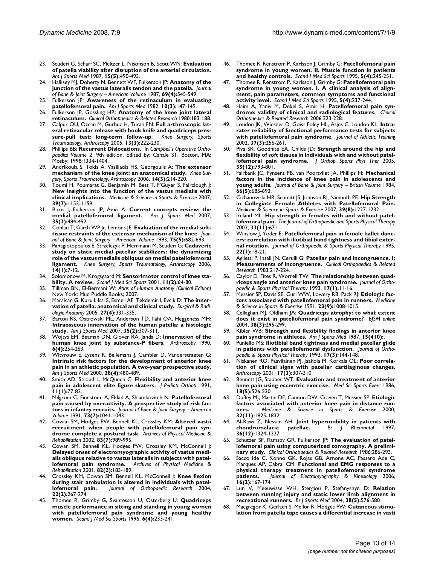- 23. Scuderi G, Scharf SC, Meltzer L, Nisonson B, Scott WN: **[Evaluation](http://www.ncbi.nlm.nih.gov/entrez/query.fcgi?cmd=Retrieve&db=PubMed&dopt=Abstract&list_uids=3674273) [of patella viability after disruption of the arterial circulation.](http://www.ncbi.nlm.nih.gov/entrez/query.fcgi?cmd=Retrieve&db=PubMed&dopt=Abstract&list_uids=3674273)** *Am J Sports Med* 1987, **15(5):**490-493.
- 24. Hallisey MJ, Doherty N, Bennett WF, Fulkerson JP: **Anatomy of the junction of the vastus lateralis tendon and the patella.** *Journal of Bone & Joint Surgery – American Volume* 1987, **69(4):**545-549.
- 25. Fulkerson JP: **[Awareness of the retinaculum in evaluating](http://www.ncbi.nlm.nih.gov/entrez/query.fcgi?cmd=Retrieve&db=PubMed&dopt=Abstract&list_uids=7114350) [patellofemoral pain.](http://www.ncbi.nlm.nih.gov/entrez/query.fcgi?cmd=Retrieve&db=PubMed&dopt=Abstract&list_uids=7114350)** *Am J Sports Med* 1982, **10(3):**147-149.
- 26. Fulkerson JP, Gossling HR: **Anatomy of the knee joint lateral retinaculum.** *Clinical Orthopaedics & Related Research* 1980:183-188.
- 27. Calpur OU, Ozcan M, Gurbuz H, Turan FN: **Full arthroscopic lateral retinacular release with hook knife and quadriceps pressure-pull test: long-term follow-up.** *Knee Surgery, Sports Traumatology, Arthroscopy* 2005, **13(3):**222-230.
- 28. Phillips BB: **Recurrent Dislocations.** In *Campbell's Operative Orthopaedics Volume 2*. 9th edition. Edited by: Canale ST. Boston, MA: Mosby; 1998:1334-1404.
- 29. Andrikoula S, Tokis A, Vasiliadis HS, Georgoulis A: **The extensor mechanism of the knee joint: an anatomical study.** *Knee Surgery, Sports Traumatology, Arthroscopy* 2006, **14(3):**214-220.
- 30. Toumi H, Poumarat G, Benjamin M, Best T, F'Guyer S, Fairclough J: **New insights into the function of the vastus medialis with clinical implications.** *Medicine & Science in Sports & Exercise* 2007, **39(7):**1153-1159.
- 31. Bicos J, Fulkerson JP, Amis A: **[Current concepts review: the](http://www.ncbi.nlm.nih.gov/entrez/query.fcgi?cmd=Retrieve&db=PubMed&dopt=Abstract&list_uids=17303819) [medial patellofemoral ligament.](http://www.ncbi.nlm.nih.gov/entrez/query.fcgi?cmd=Retrieve&db=PubMed&dopt=Abstract&list_uids=17303819)** *Am J Sports Med* 2007, **35(3):**484-492.
- 32. Conlan T, Garth WP Jr, Lemons JE: **Evaluation of the medial softtissue restraints of the extensor mechanism of the knee.** *Journal of Bone & Joint Surgery – American Volume* 1993, **75(5):**682-693.
- 33. Panagiotopoulos E, Strzelczyk P, Herrmann M, Scuderi G: **Cadaveric study on static medial patellar stabilizers: the dynamizing role of the vastus medialis obliquus on medial patellofemoral ligament.** *Knee Surgery, Sports Traumatology, Arthroscopy* 2006, **14(1):**7-12.
- 34. Solomonow M, Krogsgaard M: **[Sensorimotor control of knee sta](http://www.ncbi.nlm.nih.gov/entrez/query.fcgi?cmd=Retrieve&db=PubMed&dopt=Abstract&list_uids=11252464)[bility. A review.](http://www.ncbi.nlm.nih.gov/entrez/query.fcgi?cmd=Retrieve&db=PubMed&dopt=Abstract&list_uids=11252464)** *Scand J Med Sci Sports* 2001, **11(2):**64-80.
- 35. Tillman BN, El-Bermani W: *Atlas of Human Anatomy (Clinical Edition)* New York: Mud Puddle Books; 2007.
- 36. Maralcan G, Kuru I, Issi S, Esmer AF, Tekdemir I, Evcik D: **The innervation of patella: anatomical and clinical study.** *Surgical & Radiologic Anatomy* 2005, **27(4):**331-335.
- 37. Barton RS, Ostrowski ML, Anderson TD, Ilahi OA, Heggeness MH: **[Intraosseous innervation of the human patella: a histologic](http://www.ncbi.nlm.nih.gov/entrez/query.fcgi?cmd=Retrieve&db=PubMed&dopt=Abstract&list_uids=17204587) [study.](http://www.ncbi.nlm.nih.gov/entrez/query.fcgi?cmd=Retrieve&db=PubMed&dopt=Abstract&list_uids=17204587)** *Am J Sports Med* 2007, **35(2):**307-311.
- 38. Wojtys EM, Beaman DN, Glover RA, Janda D: **[Innervation of the](http://www.ncbi.nlm.nih.gov/entrez/query.fcgi?cmd=Retrieve&db=PubMed&dopt=Abstract&list_uids=1702291) [human knee joint by substance-P fibers.](http://www.ncbi.nlm.nih.gov/entrez/query.fcgi?cmd=Retrieve&db=PubMed&dopt=Abstract&list_uids=1702291)** *Arthroscopy* 1990, **6(4):**254-263.
- 39. Witvrouw E, Lysens R, Bellemans J, Cambier D, Vanderstraeten G: **[Intrinsic risk factors for the development of anterior knee](http://www.ncbi.nlm.nih.gov/entrez/query.fcgi?cmd=Retrieve&db=PubMed&dopt=Abstract&list_uids=10921638) pain in an athletic population. A two-year prospective study.** *Am J Sports Med* 2000, **28(4):**480-489.
- 40. Smith AD, Stroud L, McQueen C: **[Flexibility and anterior knee](http://www.ncbi.nlm.nih.gov/entrez/query.fcgi?cmd=Retrieve&db=PubMed&dopt=Abstract&list_uids=1988483) [pain in adolescent elite figure skaters.](http://www.ncbi.nlm.nih.gov/entrez/query.fcgi?cmd=Retrieve&db=PubMed&dopt=Abstract&list_uids=1988483)** *J Pediatr Orthop* 1991, **11(1):**77-82.
- 41. Milgrom C, Finestone A, Eldad A, Shlamkovitch N: **Patellofemoral pain caused by overactivity. A prospective study of risk factors in infantry recruits.** *Journal of Bone & Joint Surgery – American Volume* 1991, **73(7):**1041-1043.
- 42. Cowan SM, Hodges PW, Bennell KL, Crossley KM: **Altered vastii recruitment when people with patellofemoral pain syndrome complete a postural task.** *Archives of Physical Medicine & Rehabilitation* 2002, **83(7):**989-995.
- Cowan SM, Bennell KL, Hodges PW, Crossley KM, McConnell J: **Delayed onset of electromyographic activity of vastus medialis obliquus relative to vastus lateralis in subjects with patellofemoral pain syndrome.** *Archives of Physical Medicine & Rehabilitation* 2001, **82(2):**183-189.
- 44. Crossley KM, Cowan SM, Bennell KL, McConnell J: **[Knee flexion](http://www.ncbi.nlm.nih.gov/entrez/query.fcgi?cmd=Retrieve&db=PubMed&dopt=Abstract&list_uids=15013084) [during stair ambulation is altered in individuals with patel](http://www.ncbi.nlm.nih.gov/entrez/query.fcgi?cmd=Retrieve&db=PubMed&dopt=Abstract&list_uids=15013084)[lofemoral pain.](http://www.ncbi.nlm.nih.gov/entrez/query.fcgi?cmd=Retrieve&db=PubMed&dopt=Abstract&list_uids=15013084)** *Journal of Orthopaedic Research* 2004, **22(2):**267-274.
- 45. Thomee R, Grimby G, Svantesson U, Osterberg U: **[Quadriceps](http://www.ncbi.nlm.nih.gov/entrez/query.fcgi?cmd=Retrieve&db=PubMed&dopt=Abstract&list_uids=8896097) [muscle performance in sitting and standing in young women](http://www.ncbi.nlm.nih.gov/entrez/query.fcgi?cmd=Retrieve&db=PubMed&dopt=Abstract&list_uids=8896097) with patellofemoral pain syndrome and young healthy [women.](http://www.ncbi.nlm.nih.gov/entrez/query.fcgi?cmd=Retrieve&db=PubMed&dopt=Abstract&list_uids=8896097)** *Scand J Med Sci Sports* 1996, **6(4):**233-241.
- 46. Thomee R, Renstrom P, Karlsson J, Grimby G: **[Patellofemoral pain](http://www.ncbi.nlm.nih.gov/entrez/query.fcgi?cmd=Retrieve&db=PubMed&dopt=Abstract&list_uids=7552770) [syndrome in young women. II. Muscle function in patients](http://www.ncbi.nlm.nih.gov/entrez/query.fcgi?cmd=Retrieve&db=PubMed&dopt=Abstract&list_uids=7552770) [and healthy controls.](http://www.ncbi.nlm.nih.gov/entrez/query.fcgi?cmd=Retrieve&db=PubMed&dopt=Abstract&list_uids=7552770)** *Scand J Med Sci Sports* 1995, **5(4):**245-251.
- 47. Thomee R, Renstrom P, Karlsson J, Grimby G: **[Patellofemoral pain](http://www.ncbi.nlm.nih.gov/entrez/query.fcgi?cmd=Retrieve&db=PubMed&dopt=Abstract&list_uids=7552769) [syndrome in young women. I. A clinical analysis of align](http://www.ncbi.nlm.nih.gov/entrez/query.fcgi?cmd=Retrieve&db=PubMed&dopt=Abstract&list_uids=7552769)ment, pain parameters, common symptoms and functional [activity level.](http://www.ncbi.nlm.nih.gov/entrez/query.fcgi?cmd=Retrieve&db=PubMed&dopt=Abstract&list_uids=7552769)** *Scand J Med Sci Sports* 1995, **5(4):**237-244.
- 48. Haim A, Yaniv M, Dekel S, Amir H: **Patellofemoral pain syndrome: validity of clinical and radiological features.** *Clinical Orthopaedics & Related Research* 2006:223-228.
- Loudon JK, Wiesner D, Goist-Foley HL, Asjes C, Loudon KL: [Intra](http://www.ncbi.nlm.nih.gov/entrez/query.fcgi?cmd=Retrieve&db=PubMed&dopt=Abstract&list_uids=12937582)**[rater reliability of functional performance tests for subjects](http://www.ncbi.nlm.nih.gov/entrez/query.fcgi?cmd=Retrieve&db=PubMed&dopt=Abstract&list_uids=12937582) [with patellofemoral pain syndrome.](http://www.ncbi.nlm.nih.gov/entrez/query.fcgi?cmd=Retrieve&db=PubMed&dopt=Abstract&list_uids=12937582)** *Journal of Athletic Training* 2002, **37(3):**256-261.
- 50. Piva SR, Goodnite EA, Childs JD: **[Strength around the hip and](http://www.ncbi.nlm.nih.gov/entrez/query.fcgi?cmd=Retrieve&db=PubMed&dopt=Abstract&list_uids=16848100) [flexibility of soft tissues in individuals with and without patel](http://www.ncbi.nlm.nih.gov/entrez/query.fcgi?cmd=Retrieve&db=PubMed&dopt=Abstract&list_uids=16848100)[lofemoral pain syndrome.](http://www.ncbi.nlm.nih.gov/entrez/query.fcgi?cmd=Retrieve&db=PubMed&dopt=Abstract&list_uids=16848100)** *J Orthop Sports Phys Ther* 2005, **35(12):**793-801.
- 51. Fairbank JC, Pynsent PB, van Poortvliet JA, Phillips H: **Mechanical factors in the incidence of knee pain in adolescents and young adults.** *Journal of Bone & Joint Surgery – British Volume* 1984, **66(5):**685-693.
- 52. Cichanowski HR, Schmitt JS, Johnson RJ, Niemuth PE: **Hip Strength in Collegiate Female Athletes with Patellofemoral Pain.** *Medicine & Science in Sports & Exercise* 2007, **39(8):**1227-1232.
- Ireland ML: Hip strength in females with and without patel**lofemoral pain.** *The Journal of Orthopaedic and Sports Physical Therapy* 2003, **33(11):**671.
- 54. Winslow J, Yoder E: **Patellofemoral pain in female ballet dancers: correlation with iliotibial band tightness and tibial external rotation.** *Journal of Orthopaedic & Sports Physical Therapy* 1995, **22(1):**18-21.
- 55. Aglietti P, Insall JN, Cerulli G: **Patellar pain and incongruence. I: Measurements of incongruence.** *Clinical Orthopaedics & Related Research* 1983:217-224.
- 56. Caylor D, Fites R, Worrell TW: **The relationship between quadriceps angle and anterior knee pain syndrome.** *Journal of Orthopaedic & Sports Physical Therapy* 1993, **17(1):**11-16.
- 57. Messier SP, Davis SE, Curl WW, Lowery RB, Pack RJ: **Etiologic factors associated with patellofemoral pain in runners.** *Medicine & Science in Sports & Exercise* 1991, **23(9):**1008-1015.
- 58. Callaghan MJ, Oldham JA: **Quadriceps atrophy: to what extent does it exist in patellofemoral pain syndrome?** *BJSM online* 2004, **38(3):**295-299.
- 59. Kibler WB: **Strength and flexibility findings in anterior knee pain syndrome in athletes.** *Am J Sports Med* 1987, **15(410):**.
- 60. Puniello MS: **Iliotibial band tightness and medial patellar glide in patients with patellofemoral dysfunction.** *Journal of Orthopaedic & Sports Physical Therapy* 1993, **17(3):**144-148.
- 61. Niskanen RO, Paavilainen PJ, Jaakola M, Korkala OL: **[Poor correla](http://www.ncbi.nlm.nih.gov/entrez/query.fcgi?cmd=Retrieve&db=PubMed&dopt=Abstract&list_uids=11239353)[tion of clinical signs with patellar cartilaginous changes.](http://www.ncbi.nlm.nih.gov/entrez/query.fcgi?cmd=Retrieve&db=PubMed&dopt=Abstract&list_uids=11239353)** *Arthroscopy* 2001, **17(3):**307-310.
- 62. Bennett JG, Stauber WT: **[Evaluation and treatment of anterior](http://www.ncbi.nlm.nih.gov/entrez/query.fcgi?cmd=Retrieve&db=PubMed&dopt=Abstract&list_uids=3773669) [knee pain using eccentric exercise.](http://www.ncbi.nlm.nih.gov/entrez/query.fcgi?cmd=Retrieve&db=PubMed&dopt=Abstract&list_uids=3773669)** *Med Sci Sports Exerc* 1986, **18(5):**526-530.
- 63. Duffey MJ, Martin DF, Cannon DW, Craven T, Messier SP: **Etiologic factors associated with anterior knee pain in distance runners.** *Medicine & Science in Sports & Exercise* 2000, **32(11):**1825-1832.
- 64. Al-Rawi Z, Nessan AH: **[Joint hypermobility in patients with](http://www.ncbi.nlm.nih.gov/entrez/query.fcgi?cmd=Retrieve&db=PubMed&dopt=Abstract&list_uids=9448595) [chondromalacia patellae.](http://www.ncbi.nlm.nih.gov/entrez/query.fcgi?cmd=Retrieve&db=PubMed&dopt=Abstract&list_uids=9448595)** *Br J Rheumatol* 1997, **36(12):**1324-1327.
- 65. Schutzer SF, Ramsby GR, Fulkerson JP: **The evaluation of patellofemoral pain using computerized tomography. A preliminary study.** *Clinical Orthopaedics & Related Research* 1986:286-293.
- 66. Sacco Ide C, Konno GK, Rojas GB, Arnone AC, Passaro Ade C, Marques AP, Cabral CM: **Functional and EMG responses to a physical therapy treatment in patellofemoral syndrome patients.** *Journal of Electromyography & Kinesiology* 2006, **16(2):**167-174.
- 67. Lun V, Meeuwisse WH, Stergiou P, Stefanyshyn D: **[Relation](http://www.ncbi.nlm.nih.gov/entrez/query.fcgi?cmd=Retrieve&db=PubMed&dopt=Abstract&list_uids=15388542) [between running injury and static lower limb alignment in](http://www.ncbi.nlm.nih.gov/entrez/query.fcgi?cmd=Retrieve&db=PubMed&dopt=Abstract&list_uids=15388542) [recreational runners.](http://www.ncbi.nlm.nih.gov/entrez/query.fcgi?cmd=Retrieve&db=PubMed&dopt=Abstract&list_uids=15388542)** *Br J Sports Med* 2004, **38(5):**576-580.
- Macgregor K, Gerlach S, Mellor R, Hodges PW: [Cutaneous stimu](http://www.ncbi.nlm.nih.gov/entrez/query.fcgi?cmd=Retrieve&db=PubMed&dopt=Abstract&list_uids=15734248)**[lation from patella tape causes a differential increase in vasti](http://www.ncbi.nlm.nih.gov/entrez/query.fcgi?cmd=Retrieve&db=PubMed&dopt=Abstract&list_uids=15734248)**